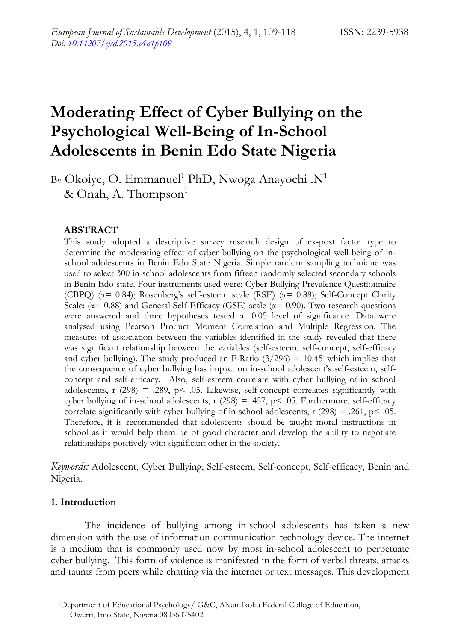# **Moderating Effect of Cyber Bullying on the Psychological Well-Being of In-School Adolescents in Benin Edo State Nigeria**

By Okoiye, O. Emmanuel<sup>1</sup> PhD, Nwoga Anayochi .N<sup>1</sup> & Onah, A. Thompson $<sup>1</sup>$ </sup>

### **ABSTRACT**

This study adopted a descriptive survey research design of ex-post factor type to determine the moderating effect of cyber bullying on the psychological well-being of inschool adolescents in Benin Edo State Nigeria. Simple random sampling technique was used to select 300 in-school adolescents from fifteen randomly selected secondary schools in Benin Edo state. Four instruments used were: Cyber Bullying Prevalence Questionnaire (CBPQ) ( $\alpha$ = 0.84); Rosenberg's self-esteem scale (RSE) ( $\alpha$ = 0.88); Self-Concept Clarity Scale: ( $\alpha$ = 0.88) and General Self-Efficacy (GSE) scale ( $\alpha$ = 0.90). Two research questions were answered and three hypotheses tested at 0.05 level of significance. Data were analysed using Pearson Product Moment Correlation and Multiple Regression. The measures of association between the variables identified in the study revealed that there was significant relationship between the variables (self-esteem, self-concept, self-efficacy and cyber bullying). The study produced an F-Ratio  $(3/296) = 10.451$  which implies that the consequence of cyber bullying has impact on in-school adolescent's self-esteem, selfconcept and self-efficacy. Also, self-esteem correlate with cyber bullying of-in school adolescents, r (298) = .289, p < .05. Likewise, self-concept correlates significantly with cyber bullying of in-school adolescents, r  $(298) = .457$ , p< .05. Furthermore, self-efficacy correlate significantly with cyber bullying of in-school adolescents, r  $(298) = .261$ , p $\leq .05$ . Therefore, it is recommended that adolescents should be taught moral instructions in school as it would help them be of good character and develop the ability to negotiate relationships positively with significant other in the society.

*Keywords:* Adolescent, Cyber Bullying, Self-esteem, Self-concept, Self-efficacy, Benin and Nigeria.

### **1. Introduction**

The incidence of bullying among in-school adolescents has taken a new dimension with the use of information communication technology device. The internet is a medium that is commonly used now by most in-school adolescent to perpetuate cyber bullying. This form of violence is manifested in the form of verbal threats, attacks and taunts from peers while chatting via the internet or text messages. This development

<sup>| 1</sup>Department of Educational Psychology/ G&C, Alvan Ikoku Federal College of Education, Owerri, Imo State, Nigeria 08036075402.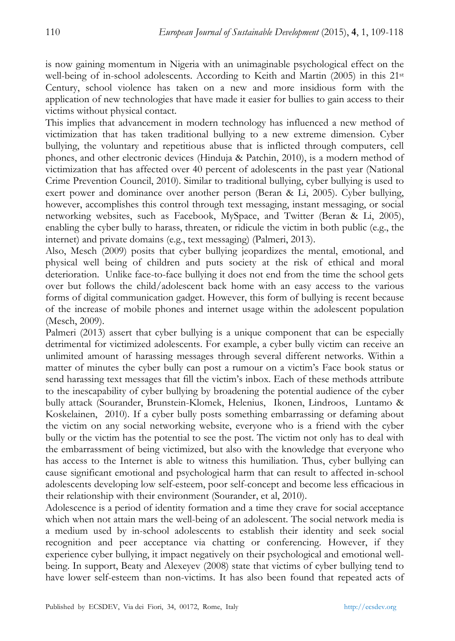is now gaining momentum in Nigeria with an unimaginable psychological effect on the well-being of in-school adolescents. According to Keith and Martin (2005) in this 21st Century, school violence has taken on a new and more insidious form with the application of new technologies that have made it easier for bullies to gain access to their victims without physical contact.

This implies that advancement in modern technology has influenced a new method of victimization that has taken traditional bullying to a new extreme dimension. Cyber bullying, the voluntary and repetitious abuse that is inflicted through computers, cell phones, and other electronic devices (Hinduja & Patchin, 2010), is a modern method of victimization that has affected over 40 percent of adolescents in the past year (National Crime Prevention Council, 2010). Similar to traditional bullying, cyber bullying is used to exert power and dominance over another person (Beran & Li, 2005). Cyber bullying, however, accomplishes this control through text messaging, instant messaging, or social networking websites, such as Facebook, MySpace, and Twitter (Beran & Li, 2005), enabling the cyber bully to harass, threaten, or ridicule the victim in both public (e.g., the internet) and private domains (e.g., text messaging) (Palmeri, 2013).

Also, Mesch (2009) posits that cyber bullying jeopardizes the mental, emotional, and physical well being of children and puts society at the risk of ethical and moral deterioration. Unlike face-to-face bullying it does not end from the time the school gets over but follows the child/adolescent back home with an easy access to the various forms of digital communication gadget. However, this form of bullying is recent because of the increase of mobile phones and internet usage within the adolescent population (Mesch, 2009).

Palmeri (2013) assert that cyber bullying is a unique component that can be especially detrimental for victimized adolescents. For example, a cyber bully victim can receive an unlimited amount of harassing messages through several different networks. Within a matter of minutes the cyber bully can post a rumour on a victim's Face book status or send harassing text messages that fill the victim's inbox. Each of these methods attribute to the inescapability of cyber bullying by broadening the potential audience of the cyber bully attack (Sourander, Brunstein-Klomek, Helenius, Ikonen, Lindroos, Luntamo & Koskelainen, 2010). If a cyber bully posts something embarrassing or defaming about the victim on any social networking website, everyone who is a friend with the cyber bully or the victim has the potential to see the post. The victim not only has to deal with the embarrassment of being victimized, but also with the knowledge that everyone who has access to the Internet is able to witness this humiliation. Thus, cyber bullying can cause significant emotional and psychological harm that can result to affected in-school adolescents developing low self-esteem, poor self-concept and become less efficacious in their relationship with their environment (Sourander, et al, 2010).

Adolescence is a period of identity formation and a time they crave for social acceptance which when not attain mars the well-being of an adolescent. The social network media is a medium used by in-school adolescents to establish their identity and seek social recognition and peer acceptance via chatting or conferencing. However, if they experience cyber bullying, it impact negatively on their psychological and emotional wellbeing. In support, Beaty and Alexeyev (2008) state that victims of cyber bullying tend to have lower self-esteem than non-victims. It has also been found that repeated acts of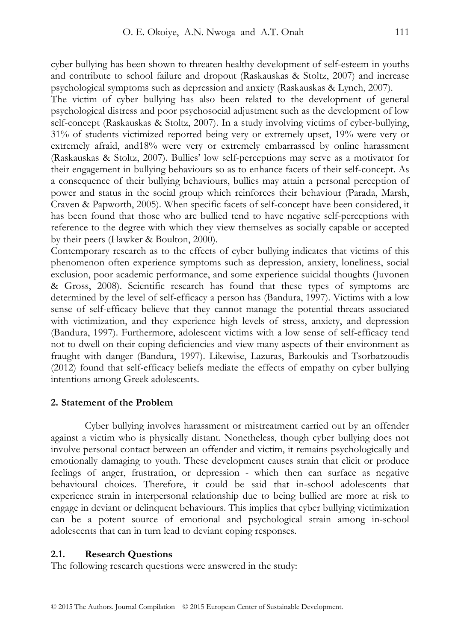cyber bullying has been shown to threaten healthy development of self-esteem in youths and contribute to school failure and dropout (Raskauskas & Stoltz, 2007) and increase psychological symptoms such as depression and anxiety (Raskauskas & Lynch, 2007).

The victim of cyber bullying has also been related to the development of general psychological distress and poor psychosocial adjustment such as the development of low self-concept (Raskauskas & Stoltz, 2007). In a study involving victims of cyber-bullying, 31% of students victimized reported being very or extremely upset, 19% were very or extremely afraid, and18% were very or extremely embarrassed by online harassment (Raskauskas & Stoltz, 2007). Bullies' low self-perceptions may serve as a motivator for their engagement in bullying behaviours so as to enhance facets of their self-concept. As a consequence of their bullying behaviours, bullies may attain a personal perception of power and status in the social group which reinforces their behaviour (Parada, Marsh, Craven & Papworth, 2005). When specific facets of self-concept have been considered, it has been found that those who are bullied tend to have negative self-perceptions with reference to the degree with which they view themselves as socially capable or accepted by their peers (Hawker & Boulton, 2000).

Contemporary research as to the effects of cyber bullying indicates that victims of this phenomenon often experience symptoms such as depression, anxiety, loneliness, social exclusion, poor academic performance, and some experience suicidal thoughts (Juvonen & Gross, 2008). Scientific research has found that these types of symptoms are determined by the level of self-efficacy a person has (Bandura, 1997). Victims with a low sense of self-efficacy believe that they cannot manage the potential threats associated with victimization, and they experience high levels of stress, anxiety, and depression (Bandura, 1997). Furthermore, adolescent victims with a low sense of self-efficacy tend not to dwell on their coping deficiencies and view many aspects of their environment as fraught with danger (Bandura, 1997). Likewise, Lazuras, Barkoukis and Tsorbatzoudis (2012) found that self-efficacy beliefs mediate the effects of empathy on cyber bullying intentions among Greek adolescents.

#### **2. Statement of the Problem**

Cyber bullying involves harassment or mistreatment carried out by an offender against a victim who is physically distant. Nonetheless, though cyber bullying does not involve personal contact between an offender and victim, it remains psychologically and emotionally damaging to youth. These development causes strain that elicit or produce feelings of anger, frustration, or depression - which then can surface as negative behavioural choices. Therefore, it could be said that in-school adolescents that experience strain in interpersonal relationship due to being bullied are more at risk to engage in deviant or delinquent behaviours. This implies that cyber bullying victimization can be a potent source of emotional and psychological strain among in-school adolescents that can in turn lead to deviant coping responses.

#### **2.1. Research Questions**

The following research questions were answered in the study: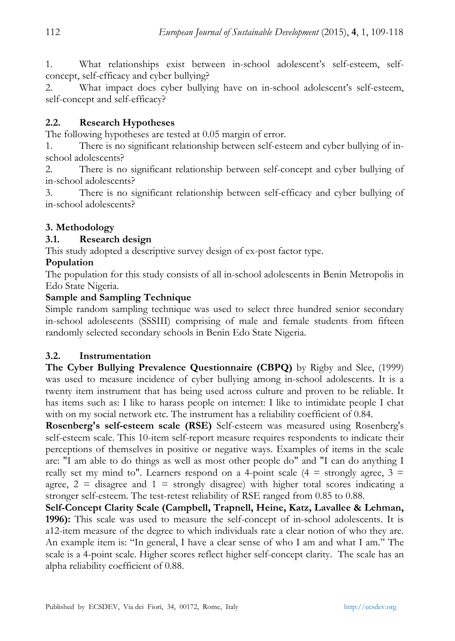1. What relationships exist between in-school adolescent's self-esteem, selfconcept, self-efficacy and cyber bullying?

2. What impact does cyber bullying have on in-school adolescent's self-esteem, self-concept and self-efficacy?

### **2.2. Research Hypotheses**

The following hypotheses are tested at 0.05 margin of error.

1. There is no significant relationship between self-esteem and cyber bullying of inschool adolescents?

2. There is no significant relationship between self-concept and cyber bullying of in-school adolescents?

3. There is no significant relationship between self-efficacy and cyber bullying of in-school adolescents?

# **3. Methodology**

# **3.1. Research design**

This study adopted a descriptive survey design of ex-post factor type.

# **Population**

The population for this study consists of all in-school adolescents in Benin Metropolis in Edo State Nigeria.

# **Sample and Sampling Technique**

Simple random sampling technique was used to select three hundred senior secondary in-school adolescents (SSSIII) comprising of male and female students from fifteen randomly selected secondary schools in Benin Edo State Nigeria.

### **3.2. Instrumentation**

**The Cyber Bullying Prevalence Questionnaire (CBPQ)** by Rigby and Slee, (1999) was used to measure incidence of cyber bullying among in-school adolescents. It is a twenty item instrument that has being used across culture and proven to be reliable. It has items such as: I like to harass people on internet: I like to intimidate people I chat with on my social network etc. The instrument has a reliability coefficient of 0.84.

**Rosenberg's self-esteem scale (RSE)** Self-esteem was measured using Rosenberg's self-esteem scale. This 10-item self-report measure requires respondents to indicate their perceptions of themselves in positive or negative ways. Examples of items in the scale are: "I am able to do things as well as most other people do" and "I can do anything I really set my mind to". Learners respond on a 4-point scale  $(4 =$  strongly agree,  $3 =$ agree,  $2 =$  disagree and  $1 =$  strongly disagree) with higher total scores indicating a stronger self-esteem. The test-retest reliability of RSE ranged from 0.85 to 0.88.

**Self-Concept Clarity Scale (Campbell, Trapnell, Heine, Katz, Lavallee & Lehman, 1996):** This scale was used to measure the self-concept of in-school adolescents. It is a12-item measure of the degree to which individuals rate a clear notion of who they are. An example item is: ''In general, I have a clear sense of who I am and what I am.'' The scale is a 4-point scale. Higher scores reflect higher self-concept clarity. The scale has an alpha reliability coefficient of 0.88.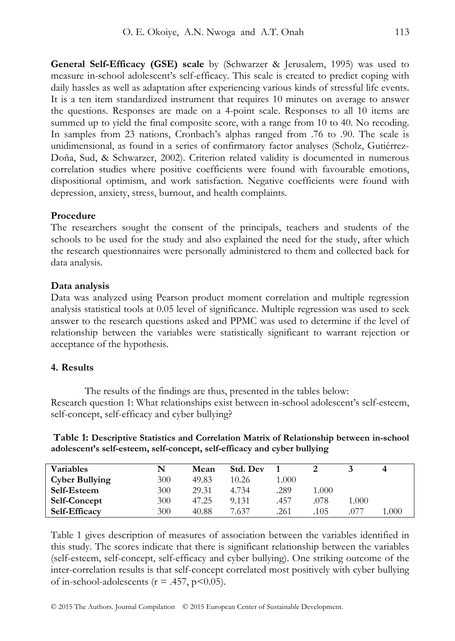**General Self-Efficacy (GSE) scale** by (Schwarzer & Jerusalem, 1995) was used to measure in-school adolescent's self-efficacy. This scale is created to predict coping with daily hassles as well as adaptation after experiencing various kinds of stressful life events. It is a ten item standardized instrument that requires 10 minutes on average to answer the questions. Responses are made on a 4-point scale. Responses to all 10 items are summed up to yield the final composite score, with a range from 10 to 40. No recoding. In samples from 23 nations, Cronbach's alphas ranged from .76 to .90. The scale is unidimensional, as found in a series of confirmatory factor analyses (Scholz, Gutiérrez-Doña, Sud, & Schwarzer, 2002). Criterion related validity is documented in numerous correlation studies where positive coefficients were found with favourable emotions, dispositional optimism, and work satisfaction. Negative coefficients were found with depression, anxiety, stress, burnout, and health complaints.

### **Procedure**

The researchers sought the consent of the principals, teachers and students of the schools to be used for the study and also explained the need for the study, after which the research questionnaires were personally administered to them and collected back for data analysis.

### **Data analysis**

Data was analyzed using Pearson product moment correlation and multiple regression analysis statistical tools at 0.05 level of significance. Multiple regression was used to seek answer to the research questions asked and PPMC was used to determine if the level of relationship between the variables were statistically significant to warrant rejection or acceptance of the hypothesis.

### **4. Results**

The results of the findings are thus, presented in the tables below: Research question 1: What relationships exist between in-school adolescent's self-esteem, self-concept, self-efficacy and cyber bullying?

 **Table 1: Descriptive Statistics and Correlation Matrix of Relationship between in-school adolescent's self-esteem, self-concept, self-efficacy and cyber bullying** 

| <b>Variables</b>      |     | Mean  | Std. Dev |       |       |       |       |
|-----------------------|-----|-------|----------|-------|-------|-------|-------|
| <b>Cyber Bullying</b> | 300 | 49.83 | 10.26    | 1.000 |       |       |       |
| Self-Esteem           | 300 | 29.31 | 4.734    | .289  | 1.000 |       |       |
| <b>Self-Concept</b>   | 300 | 47.25 | 9.131    | .457  | .078  | 000.1 |       |
| <b>Self-Efficacy</b>  | 300 | 40.88 | 7.637    | .261  | 105   | 077   | 1.000 |

Table 1 gives description of measures of association between the variables identified in this study. The scores indicate that there is significant relationship between the variables (self-esteem, self-concept, self-efficacy and cyber bullying). One striking outcome of the inter-correlation results is that self-concept correlated most positively with cyber bullying of in-school-adolescents ( $r = .457$ ,  $p < 0.05$ ).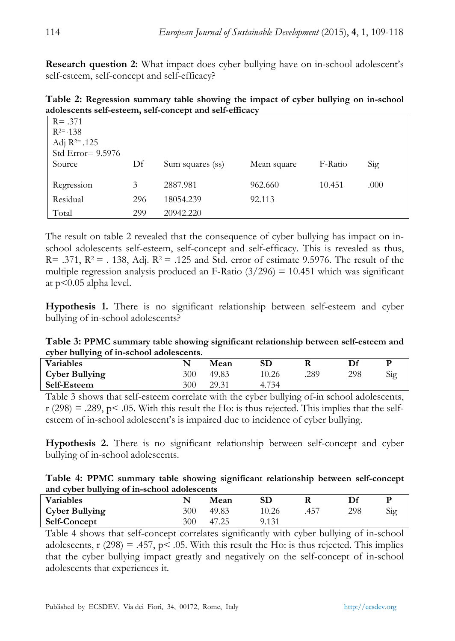**Research question 2:** What impact does cyber bullying have on in-school adolescent's self-esteem, self-concept and self-efficacy?

**Table 2: Regression summary table showing the impact of cyber bullying on in-school adolescents self-esteem, self-concept and self-efficacy** 

| $R = .371$<br>$R^{2} = 138$<br>Adj $R^{2=}$ .125<br>Std Error $= 9.5976$ |     |                  |             |         |      |
|--------------------------------------------------------------------------|-----|------------------|-------------|---------|------|
| Source                                                                   | Df  | Sum squares (ss) | Mean square | F-Ratio | Sig  |
| Regression                                                               | 3   | 2887.981         | 962.660     | 10.451  | .000 |
| Residual                                                                 | 296 | 18054.239        | 92.113      |         |      |
| Total                                                                    | 299 | 20942.220        |             |         |      |

The result on table 2 revealed that the consequence of cyber bullying has impact on inschool adolescents self-esteem, self-concept and self-efficacy. This is revealed as thus, R= .371,  $R^2$  = .138, Adj.  $R^2$  = .125 and Std. error of estimate 9.5976. The result of the multiple regression analysis produced an F-Ratio  $(3/296) = 10.451$  which was significant at p<0.05 alpha level.

**Hypothesis 1.** There is no significant relationship between self-esteem and cyber bullying of in-school adolescents?

**Table 3: PPMC summary table showing significant relationship between self-esteem and cyber bullying of in-school adolescents.** 

| <b>Variables</b>      |     | Mean  | SD    |      |     |  |
|-----------------------|-----|-------|-------|------|-----|--|
| <b>Cyber Bullying</b> | 300 | 49.83 | 10.26 | .289 | 298 |  |
| Self-Esteem           | 300 | 29.31 | 4.734 |      |     |  |
|                       |     |       |       |      |     |  |

Table 3 shows that self-esteem correlate with the cyber bullying of-in school adolescents,  $r$  (298) = .289, p < .05. With this result the Ho: is thus rejected. This implies that the selfesteem of in-school adolescent's is impaired due to incidence of cyber bullying.

**Hypothesis 2.** There is no significant relationship between self-concept and cyber bullying of in-school adolescents.

| Table 4: PPMC summary table showing significant relationship between self-concept |  |  |
|-----------------------------------------------------------------------------------|--|--|
| and cyber bullying of in-school adolescents                                       |  |  |

| ------                |     |       |       |  |     |  |  |  |
|-----------------------|-----|-------|-------|--|-----|--|--|--|
| <b>Variables</b>      |     | Mean  | SD    |  |     |  |  |  |
| <b>Cyber Bullying</b> | 300 | 49.83 | 10.26 |  | 298 |  |  |  |
| <b>Self-Concept</b>   | 300 | 47.25 | 9.131 |  |     |  |  |  |

Table 4 shows that self-concept correlates significantly with cyber bullying of in-school adolescents, r (298) = .457, p < .05. With this result the Ho: is thus rejected. This implies that the cyber bullying impact greatly and negatively on the self-concept of in-school adolescents that experiences it.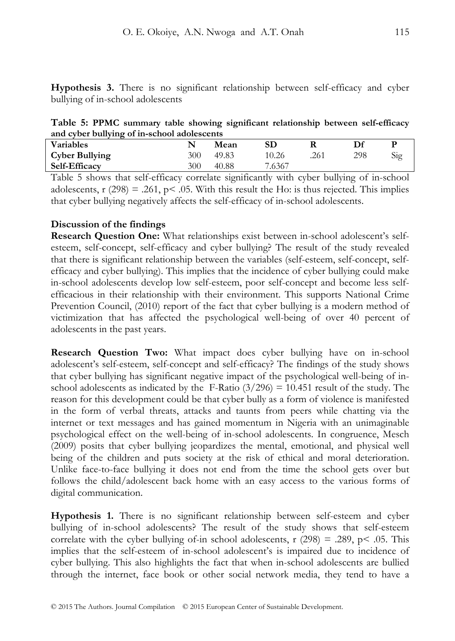**Hypothesis 3.** There is no significant relationship between self-efficacy and cyber bullying of in-school adolescents

**Table 5: PPMC summary table showing significant relationship between self-efficacy and cyber bullying of in-school adolescents**

| <b>Variables</b>      |     | Mean  | SD     |      |     |  |
|-----------------------|-----|-------|--------|------|-----|--|
| <b>Cyber Bullying</b> | 300 | 49.83 | 10.26  | .261 | 298 |  |
| <b>Self-Efficacy</b>  | 300 | 40.88 | 7.6367 |      |     |  |

Table 5 shows that self-efficacy correlate significantly with cyber bullying of in-school adolescents, r (298) = .261, p < .05. With this result the Ho: is thus rejected. This implies that cyber bullying negatively affects the self-efficacy of in-school adolescents.

### **Discussion of the findings**

**Research Question One:** What relationships exist between in-school adolescent's selfesteem, self-concept, self-efficacy and cyber bullying? The result of the study revealed that there is significant relationship between the variables (self-esteem, self-concept, selfefficacy and cyber bullying). This implies that the incidence of cyber bullying could make in-school adolescents develop low self-esteem, poor self-concept and become less selfefficacious in their relationship with their environment. This supports National Crime Prevention Council, (2010) report of the fact that cyber bullying is a modern method of victimization that has affected the psychological well-being of over 40 percent of adolescents in the past years.

**Research Question Two:** What impact does cyber bullying have on in-school adolescent's self-esteem, self-concept and self-efficacy? The findings of the study shows that cyber bullying has significant negative impact of the psychological well-being of inschool adolescents as indicated by the F-Ratio  $(3/296) = 10.451$  result of the study. The reason for this development could be that cyber bully as a form of violence is manifested in the form of verbal threats, attacks and taunts from peers while chatting via the internet or text messages and has gained momentum in Nigeria with an unimaginable psychological effect on the well-being of in-school adolescents. In congruence, Mesch (2009) posits that cyber bullying jeopardizes the mental, emotional, and physical well being of the children and puts society at the risk of ethical and moral deterioration. Unlike face-to-face bullying it does not end from the time the school gets over but follows the child/adolescent back home with an easy access to the various forms of digital communication.

**Hypothesis 1.** There is no significant relationship between self-esteem and cyber bullying of in-school adolescents? The result of the study shows that self-esteem correlate with the cyber bullying of-in school adolescents,  $r(298) = .289$ ,  $p \le .05$ . This implies that the self-esteem of in-school adolescent's is impaired due to incidence of cyber bullying. This also highlights the fact that when in-school adolescents are bullied through the internet, face book or other social network media, they tend to have a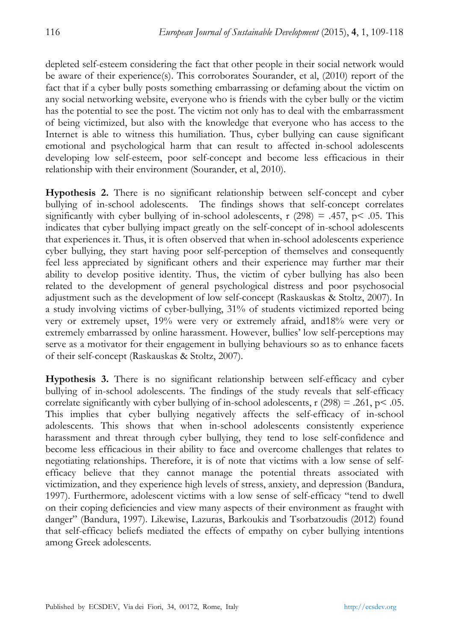depleted self-esteem considering the fact that other people in their social network would be aware of their experience(s). This corroborates Sourander, et al, (2010) report of the fact that if a cyber bully posts something embarrassing or defaming about the victim on any social networking website, everyone who is friends with the cyber bully or the victim has the potential to see the post. The victim not only has to deal with the embarrassment of being victimized, but also with the knowledge that everyone who has access to the Internet is able to witness this humiliation. Thus, cyber bullying can cause significant emotional and psychological harm that can result to affected in-school adolescents developing low self-esteem, poor self-concept and become less efficacious in their relationship with their environment (Sourander, et al, 2010).

**Hypothesis 2.** There is no significant relationship between self-concept and cyber bullying of in-school adolescents. The findings shows that self-concept correlates significantly with cyber bullying of in-school adolescents,  $r$  (298) = .457,  $p$  < .05. This indicates that cyber bullying impact greatly on the self-concept of in-school adolescents that experiences it. Thus, it is often observed that when in-school adolescents experience cyber bullying, they start having poor self-perception of themselves and consequently feel less appreciated by significant others and their experience may further mar their ability to develop positive identity. Thus, the victim of cyber bullying has also been related to the development of general psychological distress and poor psychosocial adjustment such as the development of low self-concept (Raskauskas & Stoltz, 2007). In a study involving victims of cyber-bullying, 31% of students victimized reported being very or extremely upset, 19% were very or extremely afraid, and18% were very or extremely embarrassed by online harassment. However, bullies' low self-perceptions may serve as a motivator for their engagement in bullying behaviours so as to enhance facets of their self-concept (Raskauskas & Stoltz, 2007).

**Hypothesis 3.** There is no significant relationship between self-efficacy and cyber bullying of in-school adolescents. The findings of the study reveals that self-efficacy correlate significantly with cyber bullying of in-school adolescents,  $r(298) = .261$ ,  $p < .05$ . This implies that cyber bullying negatively affects the self-efficacy of in-school adolescents. This shows that when in-school adolescents consistently experience harassment and threat through cyber bullying, they tend to lose self-confidence and become less efficacious in their ability to face and overcome challenges that relates to negotiating relationships. Therefore, it is of note that victims with a low sense of selfefficacy believe that they cannot manage the potential threats associated with victimization, and they experience high levels of stress, anxiety, and depression (Bandura, 1997). Furthermore, adolescent victims with a low sense of self-efficacy "tend to dwell on their coping deficiencies and view many aspects of their environment as fraught with danger" (Bandura, 1997). Likewise, Lazuras, Barkoukis and Tsorbatzoudis (2012) found that self-efficacy beliefs mediated the effects of empathy on cyber bullying intentions among Greek adolescents.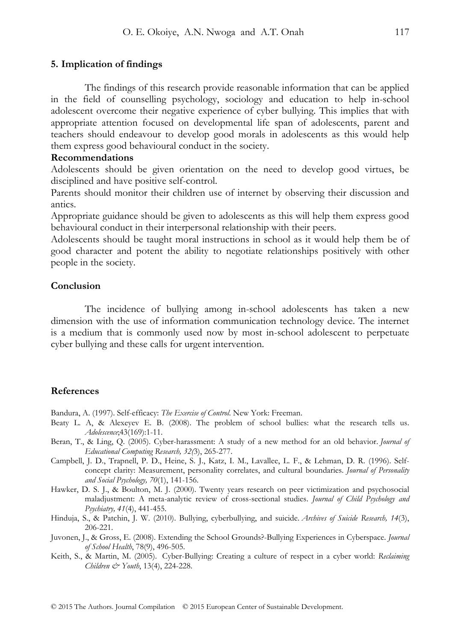The findings of this research provide reasonable information that can be applied in the field of counselling psychology, sociology and education to help in-school adolescent overcome their negative experience of cyber bullying. This implies that with appropriate attention focused on developmental life span of adolescents, parent and teachers should endeavour to develop good morals in adolescents as this would help them express good behavioural conduct in the society.

### **Recommendations**

Adolescents should be given orientation on the need to develop good virtues, be disciplined and have positive self-control.

Parents should monitor their children use of internet by observing their discussion and antics.

Appropriate guidance should be given to adolescents as this will help them express good behavioural conduct in their interpersonal relationship with their peers.

Adolescents should be taught moral instructions in school as it would help them be of good character and potent the ability to negotiate relationships positively with other people in the society.

#### **Conclusion**

The incidence of bullying among in-school adolescents has taken a new dimension with the use of information communication technology device. The internet is a medium that is commonly used now by most in-school adolescent to perpetuate cyber bullying and these calls for urgent intervention.

#### **References**

Bandura, A. (1997). Self-efficacy: *The Exercise of Control*. New York: Freeman.

- Beaty L. A, & Alexeyev E. B. (2008). The problem of school bullies: what the research tells us. *Adolescence*;43(169):1-11.
- Beran, T., & Ling, Q. (2005). Cyber-harassment: A study of a new method for an old behavior. *Journal of Educational Computing Research, 32(*3), 265-277.
- Campbell, J. D., Trapnell, P. D., Heine, S. J., Katz, I. M., Lavallee, L. F., & Lehman, D. R. (1996). Selfconcept clarity: Measurement, personality correlates, and cultural boundaries. *Journal of Personality and Social Psychology, 70*(1), 141-156.
- Hawker, D. S. J., & Boulton, M. J. (2000). Twenty years research on peer victimization and psychosocial maladjustment: A meta-analytic review of cross-sectional studies. *Journal of Child Psychology and Psychiatry, 41*(4), 441-455.
- Hinduja, S., & Patchin, J. W. (2010). Bullying, cyberbullying, and suicide. *Archives of Suicide Research, 14*(3), 206-221.
- Juvonen, J., & Gross, E. (2008). Extending the School Grounds?-Bullying Experiences in Cyberspace. *Journal of School Health*, 78(9), 496-505.
- Keith, S., & Martin, M. (2005). Cyber-Bullying: Creating a culture of respect in a cyber world: *Reclaiming Children & Youth*, 13(4), 224-228.